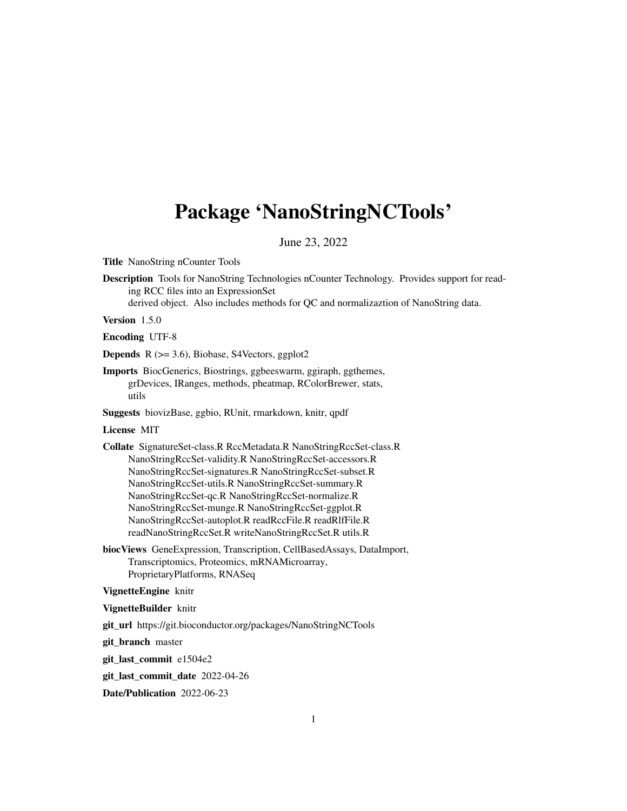# <span id="page-0-0"></span>Package 'NanoStringNCTools'

June 23, 2022

Title NanoString nCounter Tools

Description Tools for NanoString Technologies nCounter Technology. Provides support for reading RCC files into an ExpressionSet

derived object. Also includes methods for QC and normalizaztion of NanoString data.

Version 1.5.0

Encoding UTF-8

Depends R (>= 3.6), Biobase, S4Vectors, ggplot2

Imports BiocGenerics, Biostrings, ggbeeswarm, ggiraph, ggthemes, grDevices, IRanges, methods, pheatmap, RColorBrewer, stats, utils

Suggests biovizBase, ggbio, RUnit, rmarkdown, knitr, qpdf

# License MIT

Collate SignatureSet-class.R RccMetadata.R NanoStringRccSet-class.R NanoStringRccSet-validity.R NanoStringRccSet-accessors.R NanoStringRccSet-signatures.R NanoStringRccSet-subset.R NanoStringRccSet-utils.R NanoStringRccSet-summary.R NanoStringRccSet-qc.R NanoStringRccSet-normalize.R NanoStringRccSet-munge.R NanoStringRccSet-ggplot.R NanoStringRccSet-autoplot.R readRccFile.R readRlfFile.R readNanoStringRccSet.R writeNanoStringRccSet.R utils.R

biocViews GeneExpression, Transcription, CellBasedAssays, DataImport, Transcriptomics, Proteomics, mRNAMicroarray, ProprietaryPlatforms, RNASeq

# VignetteEngine knitr

#### VignetteBuilder knitr

git\_url https://git.bioconductor.org/packages/NanoStringNCTools

git\_branch master

git\_last\_commit e1504e2

git\_last\_commit\_date 2022-04-26

Date/Publication 2022-06-23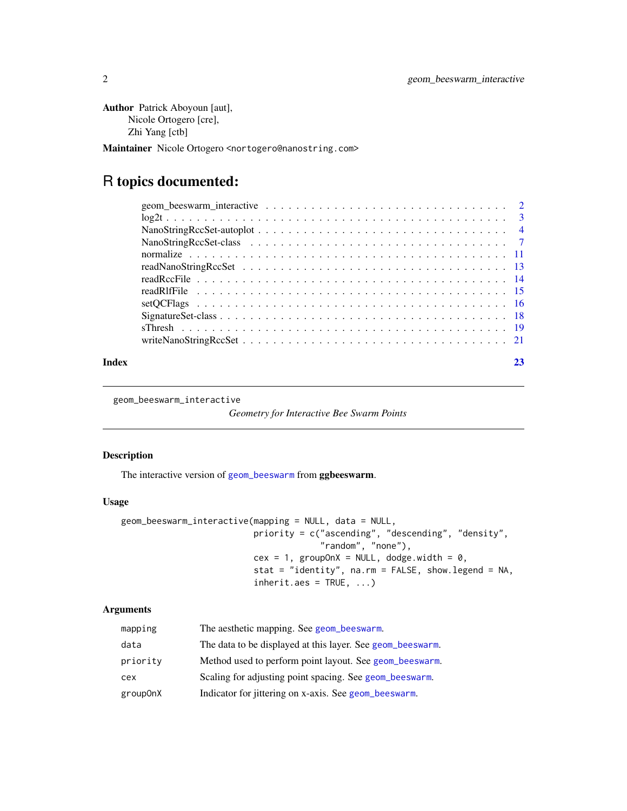```
Author Patrick Aboyoun [aut],
     Nicole Ortogero [cre],
     Zhi Yang [ctb]
```
Maintainer Nicole Ortogero <nortogero@nanostring.com>

# R topics documented:

| Index |  |
|-------|--|

geom\_beeswarm\_interactive

*Geometry for Interactive Bee Swarm Points*

# Description

The interactive version of [geom\\_beeswarm](#page-0-0) from ggbeeswarm.

# Usage

```
geom_beeswarm_interactive(mapping = NULL, data = NULL,
                          priority = c("ascending", "descending", "density",
                                       "random", "none"),
                          cex = 1, groupOnX = NULL, dodge.width = 0,
                          stat = "identity", na.rm = FALSE, show.legend = NA,
                          inherit.aes = TRUE, ...)
```
# Arguments

| mapping  | The aesthetic mapping. See geom_beeswarm.                  |
|----------|------------------------------------------------------------|
| data     | The data to be displayed at this layer. See geom_beeswarm. |
| priority | Method used to perform point layout. See geom_beeswarm.    |
| cex      | Scaling for adjusting point spacing. See geom_beeswarm.    |
| group0nX | Indicator for jittering on x-axis. See geom_beeswarm.      |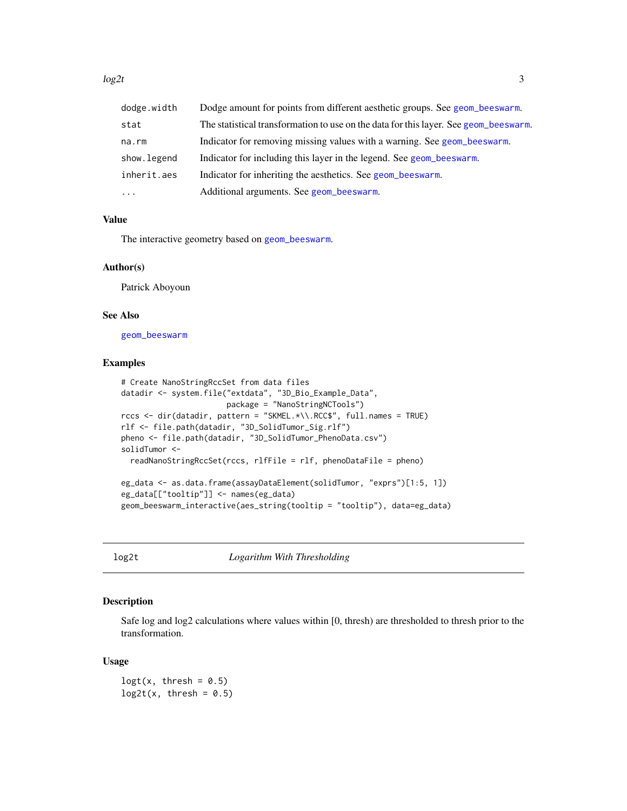<span id="page-2-0"></span> $\log 2t$  3

| dodge.width | Dodge amount for points from different aesthetic groups. See geom_beeswarm.          |
|-------------|--------------------------------------------------------------------------------------|
| stat        | The statistical transformation to use on the data for this layer. See geom beeswarm. |
| na.rm       | Indicator for removing missing values with a warning. See geom_beeswarm.             |
| show.legend | Indicator for including this layer in the legend. See geom beeswarm.                 |
| inherit.aes | Indicator for inheriting the aesthetics. See geom beeswarm.                          |
| $\cdot$     | Additional arguments. See geom_beeswarm.                                             |

# Value

The interactive geometry based on [geom\\_beeswarm](#page-0-0).

#### Author(s)

Patrick Aboyoun

#### See Also

[geom\\_beeswarm](#page-0-0)

# Examples

```
# Create NanoStringRccSet from data files
datadir <- system.file("extdata", "3D_Bio_Example_Data",
                       package = "NanoStringNCTools")
rccs <- dir(datadir, pattern = "SKMEL.*\\.RCC$", full.names = TRUE)
rlf <- file.path(datadir, "3D_SolidTumor_Sig.rlf")
pheno <- file.path(datadir, "3D_SolidTumor_PhenoData.csv")
solidTumor <-
 readNanoStringRccSet(rccs, rlfFile = rlf, phenoDataFile = pheno)
eg_data <- as.data.frame(assayDataElement(solidTumor, "exprs")[1:5, 1])
eg_data[["tooltip"]] <- names(eg_data)
geom_beeswarm_interactive(aes_string(tooltip = "tooltip"), data=eg_data)
```
log2t *Logarithm With Thresholding*

#### Description

Safe log and log2 calculations where values within [0, thresh) are thresholded to thresh prior to the transformation.

#### Usage

 $\text{logt}(x, \text{thresh} = 0.5)$  $log2t(x, thresh = 0.5)$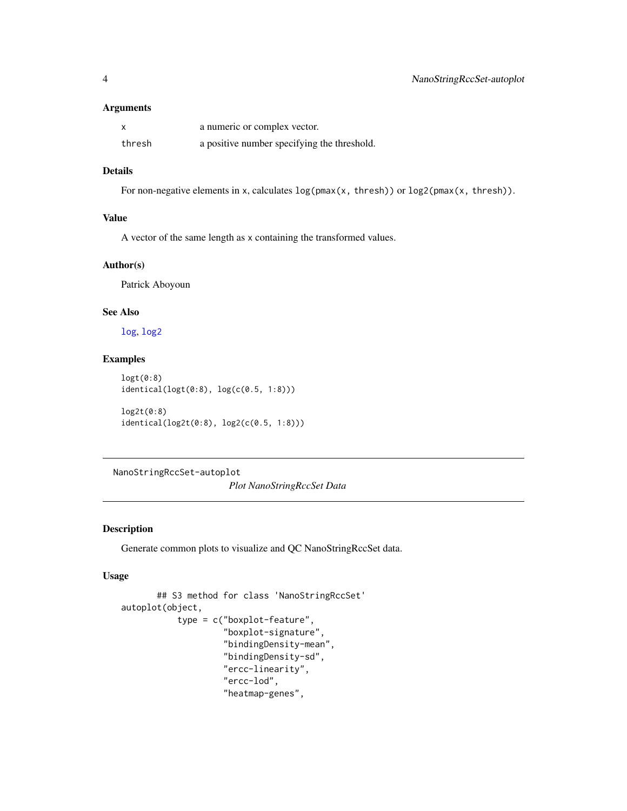# <span id="page-3-0"></span>Arguments

| $\boldsymbol{\mathsf{x}}$ | a numeric or complex vector.                |
|---------------------------|---------------------------------------------|
| thresh                    | a positive number specifying the threshold. |

# Details

For non-negative elements in x, calculates  $log(pmax(x, thresh))$  or  $log2(pmax(x, thresh))$ .

# Value

A vector of the same length as x containing the transformed values.

# Author(s)

Patrick Aboyoun

# See Also

[log](#page-0-0), [log2](#page-0-0)

# Examples

```
logt(0:8)
identical(logt(0:8), log(c(0.5, 1:8)))
log2t(0:8)
identical(log2t(0:8), log2(c(0.5, 1:8)))
```
NanoStringRccSet-autoplot *Plot NanoStringRccSet Data*

# Description

Generate common plots to visualize and QC NanoStringRccSet data.

#### Usage

```
## S3 method for class 'NanoStringRccSet'
autoplot(object,
           type = c("boxplot-feature",
                    "boxplot-signature",
                    "bindingDensity-mean",
                    "bindingDensity-sd",
                    "ercc-linearity",
                    "ercc-lod",
                    "heatmap-genes",
```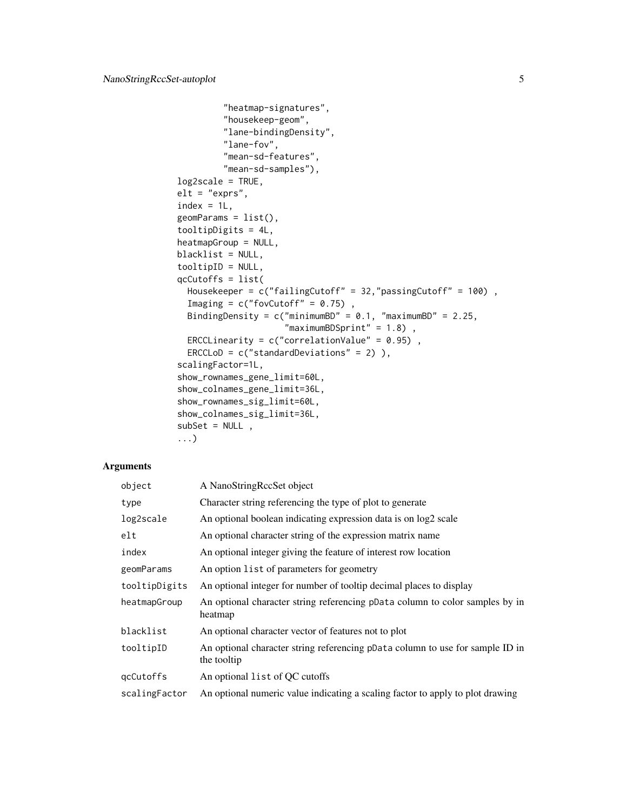```
"heatmap-signatures",
         "housekeep-geom",
         "lane-bindingDensity",
         "lane-fov",
         "mean-sd-features",
         "mean-sd-samples"),
log2scale = TRUE,
elt = "express",index = 1L,
geomParameters = list(),
tooltipDigits = 4L,
heatmapGroup = NULL,
blacklist = NULL,
tooltipID = NULL,
qcCutoffs = list(
  Housekeeper = c("failingCutoff" = 32,"passingCutoff" = 100) ,
  Imaging = c("fovCutoff" = 0.75),
  BindingDensity = c("minimumBD" = 0.1, "maximumBD" = 2.25,"maximumBDSprint" = 1.8),
  ERCCLinearity = c("correlationValue" = 0.95),
  ERCCLoD = c("standardDeviations" = 2) ),
scalingFactor=1L,
show_rownames_gene_limit=60L,
show_colnames_gene_limit=36L,
show_rownames_sig_limit=60L,
show_colnames_sig_limit=36L,
subSet = NULL,
...)
```
#### Arguments

| object        | A NanoStringRecSet object                                                                    |
|---------------|----------------------------------------------------------------------------------------------|
| type          | Character string referencing the type of plot to generate                                    |
| log2scale     | An optional boolean indicating expression data is on log2 scale                              |
| elt           | An optional character string of the expression matrix name                                   |
| index         | An optional integer giving the feature of interest row location                              |
| geomParams    | An option list of parameters for geometry                                                    |
| tooltipDigits | An optional integer for number of tooltip decimal places to display                          |
| heatmapGroup  | An optional character string referencing pData column to color samples by in<br>heatmap      |
| blacklist     | An optional character vector of features not to plot                                         |
| tooltipID     | An optional character string referencing pData column to use for sample ID in<br>the tooltip |
| qcCutoffs     | An optional list of QC cutoffs                                                               |
| scalingFactor | An optional numeric value indicating a scaling factor to apply to plot drawing               |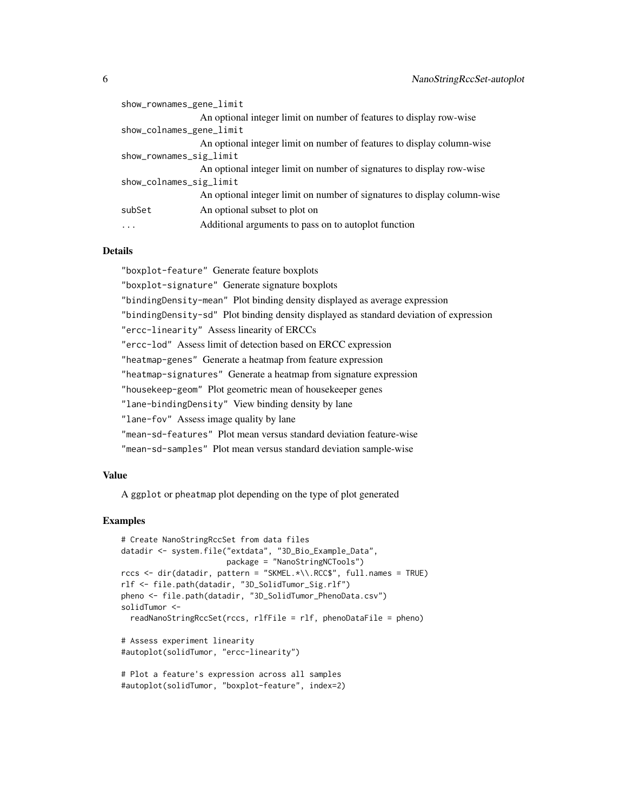| show_rownames_gene_limit |                                                                          |
|--------------------------|--------------------------------------------------------------------------|
|                          | An optional integer limit on number of features to display row-wise      |
| show_colnames_gene_limit |                                                                          |
|                          | An optional integer limit on number of features to display column-wise   |
| show_rownames_sig_limit  |                                                                          |
|                          | An optional integer limit on number of signatures to display row-wise    |
| show_colnames_sig_limit  |                                                                          |
|                          | An optional integer limit on number of signatures to display column-wise |
| subSet                   | An optional subset to plot on                                            |
| $\cdots$                 | Additional arguments to pass on to autoplot function                     |
|                          |                                                                          |

#### Details

"boxplot-feature" Generate feature boxplots

"boxplot-signature" Generate signature boxplots

"bindingDensity-mean" Plot binding density displayed as average expression

"bindingDensity-sd" Plot binding density displayed as standard deviation of expression

"ercc-linearity" Assess linearity of ERCCs

"ercc-lod" Assess limit of detection based on ERCC expression

"heatmap-genes" Generate a heatmap from feature expression

"heatmap-signatures" Generate a heatmap from signature expression

"housekeep-geom" Plot geometric mean of housekeeper genes

"lane-bindingDensity" View binding density by lane

"lane-fov" Assess image quality by lane

"mean-sd-features" Plot mean versus standard deviation feature-wise

"mean-sd-samples" Plot mean versus standard deviation sample-wise

# Value

A ggplot or pheatmap plot depending on the type of plot generated

```
# Create NanoStringRccSet from data files
datadir <- system.file("extdata", "3D_Bio_Example_Data",
                       package = "NanoStringNCTools")
rccs <- dir(datadir, pattern = "SKMEL.*\\.RCC$", full.names = TRUE)
rlf <- file.path(datadir, "3D_SolidTumor_Sig.rlf")
pheno <- file.path(datadir, "3D_SolidTumor_PhenoData.csv")
solidTumor <-
 readNanoStringRccSet(rccs, rlfFile = rlf, phenoDataFile = pheno)
# Assess experiment linearity
#autoplot(solidTumor, "ercc-linearity")
# Plot a feature's expression across all samples
```

```
#autoplot(solidTumor, "boxplot-feature", index=2)
```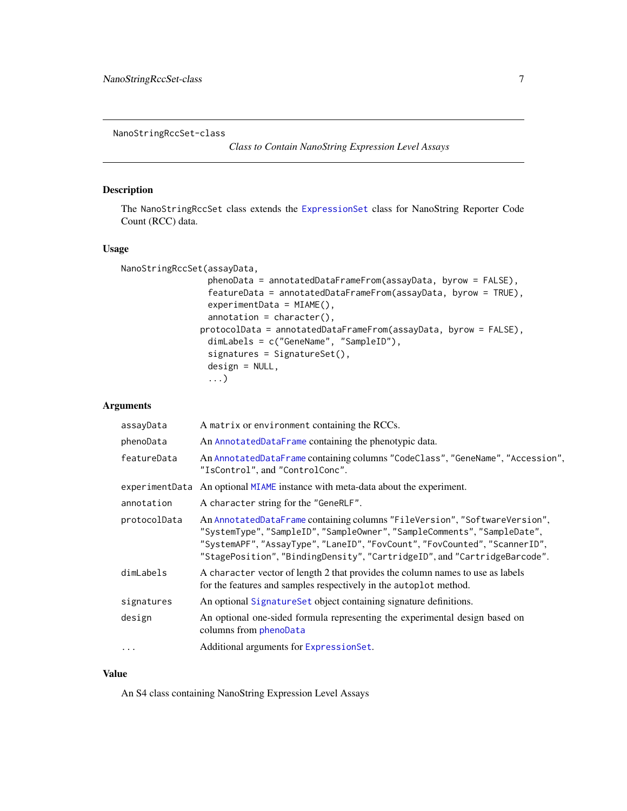<span id="page-6-1"></span><span id="page-6-0"></span>NanoStringRccSet-class

*Class to Contain NanoString Expression Level Assays*

# <span id="page-6-2"></span>Description

The NanoStringRccSet class extends the [ExpressionSet](#page-0-0) class for NanoString Reporter Code Count (RCC) data.

# Usage

```
NanoStringRccSet(assayData,
```

```
phenoData = annotatedDataFrameFrom(assayData, byrow = FALSE),
 featureData = annotatedDataFrameFrom(assayData, byrow = TRUE),
 experimentData = MIAME(),
 annotation = character(),
protocolData = annotatedDataFrameFrom(assayData, byrow = FALSE),
 dimLabels = c("GeneName", "SampleID"),
 signatures = SignatureSet(),
 design = NULL,
 ...)
```
# Arguments

| assayData      | A matrix or environment containing the RCCs.                                                                                                                                                                                                                                                                      |
|----------------|-------------------------------------------------------------------------------------------------------------------------------------------------------------------------------------------------------------------------------------------------------------------------------------------------------------------|
| phenoData      | An AnnotatedDataFrame containing the phenotypic data.                                                                                                                                                                                                                                                             |
| featureData    | An AnnotatedDataFrame containing columns "CodeClass", "GeneName", "Accession",<br>"IsControl", and "ControlConc".                                                                                                                                                                                                 |
| experimentData | An optional MIAME instance with meta-data about the experiment.                                                                                                                                                                                                                                                   |
| annotation     | A character string for the "GeneRLF".                                                                                                                                                                                                                                                                             |
| protocolData   | An AnnotatedDataFrame containing columns "FileVersion", "SoftwareVersion",<br>"SystemType", "SampleID", "SampleOwner", "SampleComments", "SampleDate",<br>"SystemAPF", "AssayType", "LaneID", "FovCount", "FovCounted", "ScannerID",<br>"StagePosition", "BindingDensity", "CartridgeID", and "CartridgeBarcode". |
| dimLabels      | A character vector of length 2 that provides the column names to use as labels<br>for the features and samples respectively in the autoplot method.                                                                                                                                                               |
| signatures     | An optional SignatureSet object containing signature definitions.                                                                                                                                                                                                                                                 |
| design         | An optional one-sided formula representing the experimental design based on<br>columns from phenoData                                                                                                                                                                                                             |
| $\cdots$       | Additional arguments for ExpressionSet.                                                                                                                                                                                                                                                                           |

# Value

An S4 class containing NanoString Expression Level Assays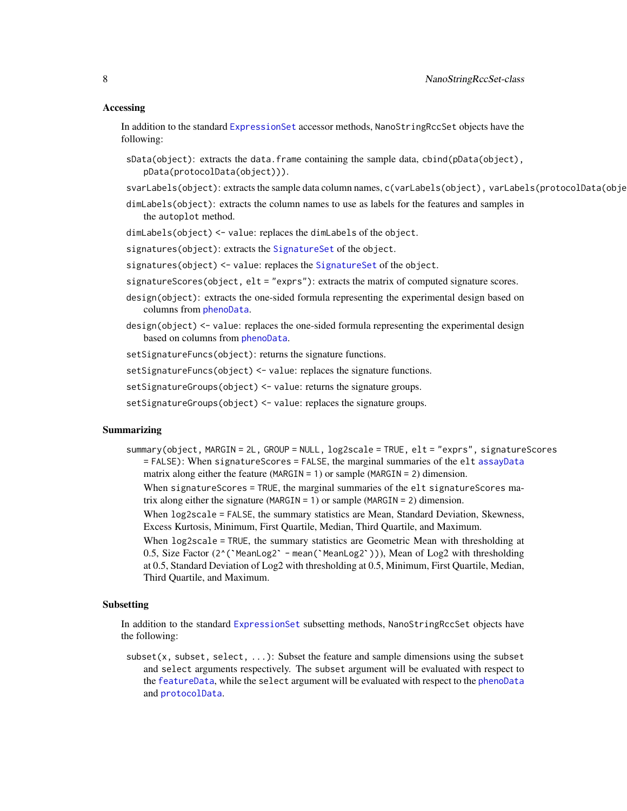#### <span id="page-7-0"></span>Accessing

In addition to the standard [ExpressionSet](#page-0-0) accessor methods, NanoStringRccSet objects have the following:

- sData(object): extracts the data.frame containing the sample data, cbind(pData(object), pData(protocolData(object))).
- svarLabels(object): extracts the sample data column names, c(varLabels(object), varLabels(protocolData(obje
- dimLabels(object): extracts the column names to use as labels for the features and samples in the autoplot method.
- dimLabels(object) <- value: replaces the dimLabels of the object.

signatures(object): extracts the [SignatureSet](#page-17-1) of the object.

- signatures(object) <- value: replaces the [SignatureSet](#page-17-1) of the object.
- signatureScores(object, elt = "exprs"): extracts the matrix of computed signature scores.
- design(object): extracts the one-sided formula representing the experimental design based on columns from [phenoData](#page-0-0).
- design(object) <- value: replaces the one-sided formula representing the experimental design based on columns from [phenoData](#page-0-0).
- setSignatureFuncs(object): returns the signature functions.

setSignatureFuncs(object) <- value: replaces the signature functions.

- setSignatureGroups(object) <- value: returns the signature groups.
- setSignatureGroups(object) <- value: replaces the signature groups.

#### Summarizing

- summary(object, MARGIN = 2L, GROUP = NULL, log2scale = TRUE, elt = "exprs", signatureScores = FALSE): When signatureScores = FALSE, the marginal summaries of the elt [assayData](#page-0-0) matrix along either the feature (MARGIN = 1) or sample (MARGIN = 2) dimension.
	- When signatureScores = TRUE, the marginal summaries of the elt signatureScores ma-
	- trix along either the signature (MARGIN = 1) or sample (MARGIN = 2) dimension.
	- When log2scale = FALSE, the summary statistics are Mean, Standard Deviation, Skewness, Excess Kurtosis, Minimum, First Quartile, Median, Third Quartile, and Maximum.
	- When log2scale = TRUE, the summary statistics are Geometric Mean with thresholding at When log2scale = FALSE, the summary statistics are Mean, Standard Deviation, Skewness, Excess Kurtosis, Minimum, First Quartile, Median, Third Quartile, and Maximum.<br>When log2scale = TRUE, the summary statistics are Geomet at 0.5, Standard Deviation of Log2 with thresholding at 0.5, Minimum, First Quartile, Median, Third Quartile, and Maximum.

#### Subsetting

In addition to the standard [ExpressionSet](#page-0-0) subsetting methods, NanoStringRccSet objects have the following:

 $subset(x, subset, select, ...)$ : Subset the feature and sample dimensions using the subset and select arguments respectively. The subset argument will be evaluated with respect to the [featureData](#page-0-0), while the select argument will be evaluated with respect to the [phenoData](#page-0-0) and [protocolData](#page-0-0).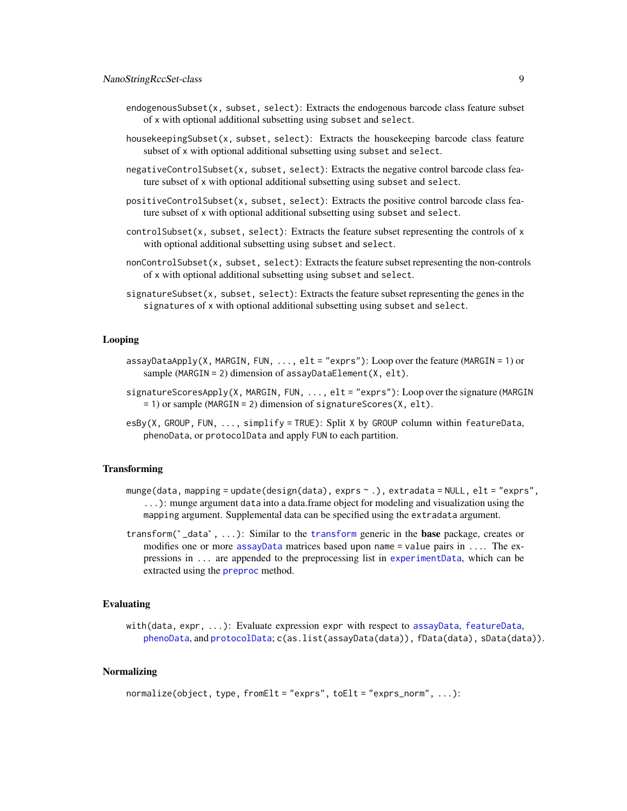- <span id="page-8-0"></span>endogenousSubset(x, subset, select): Extracts the endogenous barcode class feature subset of x with optional additional subsetting using subset and select.
- housekeepingSubset(x, subset, select): Extracts the housekeeping barcode class feature subset of x with optional additional subsetting using subset and select.
- negativeControlSubset(x, subset, select): Extracts the negative control barcode class feature subset of x with optional additional subsetting using subset and select.
- positiveControlSubset(x, subset, select): Extracts the positive control barcode class feature subset of x with optional additional subsetting using subset and select.
- $controlSubset(x, subset, select)$ : Extracts the feature subset representing the controls of x with optional additional subsetting using subset and select.
- nonControlSubset(x, subset, select): Extracts the feature subset representing the non-controls of x with optional additional subsetting using subset and select.
- signatureSubset(x, subset, select): Extracts the feature subset representing the genes in the signatures of x with optional additional subsetting using subset and select.

#### Looping

- assayDataApply(X, MARGIN, FUN, ..., elt = "exprs"): Loop over the feature (MARGIN = 1) or sample (MARGIN = 2) dimension of assayDataElement(X, elt).
- signatureScoresApply(X, MARGIN, FUN, ..., elt = "exprs"): Loop over the signature (MARGIN = 1) or sample (MARGIN = 2) dimension of signatureScores(X, elt).
- esBy(X, GROUP, FUN, ..., simplify = TRUE): Split X by GROUP column within featureData, phenoData, or protocolData and apply FUN to each partition.

## **Transforming**

- munge(data, mapping = update(design(data), exprs ~ .), extradata = NULL, elt = "exprs", ...): munge argument data into a data.frame object for modeling and visualization using the mapping argument. Supplemental data can be specified using the extradata argument.
- transform(`\_data`, ...): Similar to the [transform](#page-0-0) generic in the base package, creates or modifies one or more [assayData](#page-0-0) matrices based upon name = value pairs in .... The expressions in ... are appended to the preprocessing list in [experimentData](#page-0-0), which can be extracted using the [preproc](#page-0-0) method.

# Evaluating

with(data, expr, ...): Evaluate expression expr with respect to [assayData](#page-0-0), [featureData](#page-0-0), [phenoData](#page-0-0), and [protocolData](#page-0-0); c(as.list(assayData(data)), fData(data), sData(data)).

#### Normalizing

```
normalize(object, type, fromElt = "exprs", toElt = "exprs_norm", ...):
```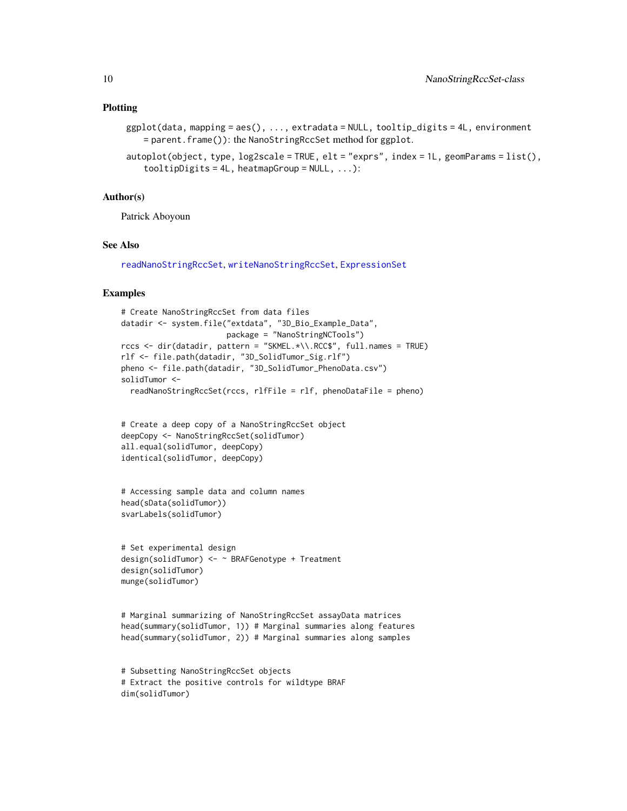#### <span id="page-9-0"></span>Plotting

```
ggplot(data, mapping = aes(), ..., extradata = NULL, tooltip_digits = 4L, environment
   = parent.frame()): the NanoStringRccSet method for ggplot.
```

```
autoplot(object, type, log2scale = TRUE, elt = "exprs", index = 1L, geomParams = list(),
   to oltipDigits = 4L, heatmapGroup = NULL, ...):
```
#### Author(s)

Patrick Aboyoun

# See Also

[readNanoStringRccSet](#page-12-1), [writeNanoStringRccSet](#page-20-1), [ExpressionSet](#page-0-0)

```
# Create NanoStringRccSet from data files
datadir <- system.file("extdata", "3D_Bio_Example_Data",
                       package = "NanoStringNCTools")
rccs <- dir(datadir, pattern = "SKMEL.*\\.RCC$", full.names = TRUE)
rlf <- file.path(datadir, "3D_SolidTumor_Sig.rlf")
pheno <- file.path(datadir, "3D_SolidTumor_PhenoData.csv")
solidTumor <-
 readNanoStringRccSet(rccs, rlfFile = rlf, phenoDataFile = pheno)
```

```
# Create a deep copy of a NanoStringRccSet object
deepCopy <- NanoStringRccSet(solidTumor)
all.equal(solidTumor, deepCopy)
identical(solidTumor, deepCopy)
```

```
# Accessing sample data and column names
head(sData(solidTumor))
svarLabels(solidTumor)
```

```
# Set experimental design
design(solidTumor) <- ~ BRAFGenotype + Treatment
design(solidTumor)
munge(solidTumor)
```

```
# Marginal summarizing of NanoStringRccSet assayData matrices
head(summary(solidTumor, 1)) # Marginal summaries along features
head(summary(solidTumor, 2)) # Marginal summaries along samples
```

```
# Subsetting NanoStringRccSet objects
# Extract the positive controls for wildtype BRAF
dim(solidTumor)
```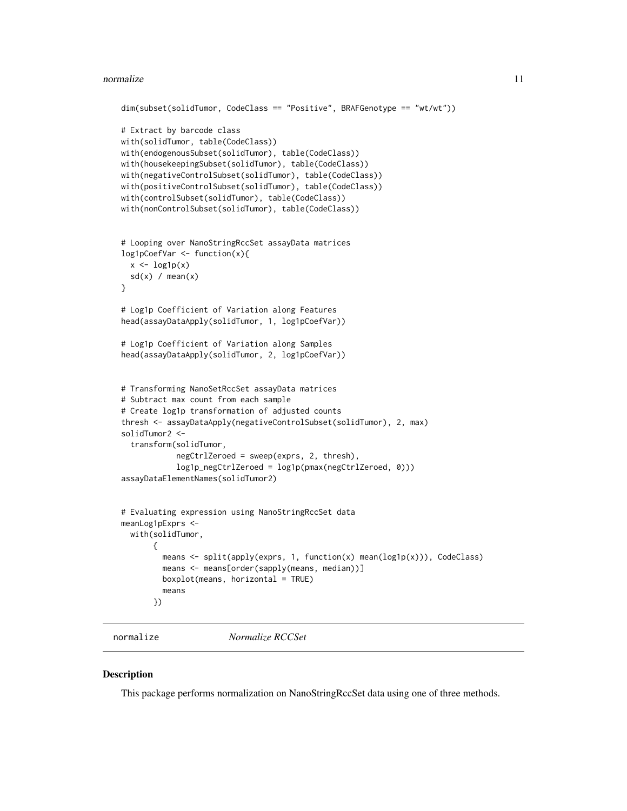#### <span id="page-10-0"></span>normalize the contract of the contract of the contract of the contract of the contract of the contract of the contract of the contract of the contract of the contract of the contract of the contract of the contract of the

```
dim(subset(solidTumor, CodeClass == "Positive", BRAFGenotype == "wt/wt"))
# Extract by barcode class
with(solidTumor, table(CodeClass))
with(endogenousSubset(solidTumor), table(CodeClass))
with(housekeepingSubset(solidTumor), table(CodeClass))
with(negativeControlSubset(solidTumor), table(CodeClass))
with(positiveControlSubset(solidTumor), table(CodeClass))
with(controlSubset(solidTumor), table(CodeClass))
with(nonControlSubset(solidTumor), table(CodeClass))
# Looping over NanoStringRccSet assayData matrices
log1pCoefVar <- function(x){
 x \leftarrow \text{log1p}(x)sd(x) / mean(x)}
# Log1p Coefficient of Variation along Features
head(assayDataApply(solidTumor, 1, log1pCoefVar))
# Log1p Coefficient of Variation along Samples
head(assayDataApply(solidTumor, 2, log1pCoefVar))
# Transforming NanoSetRccSet assayData matrices
# Subtract max count from each sample
# Create log1p transformation of adjusted counts
thresh <- assayDataApply(negativeControlSubset(solidTumor), 2, max)
solidTumor2 <-
 transform(solidTumor,
            negCtrlZeroed = sweep(exprs, 2, thresh),
            log1p_negCtrlZeroed = log1p(pmax(negCtrlZeroed, 0)))
assayDataElementNames(solidTumor2)
# Evaluating expression using NanoStringRccSet data
meanLog1pExprs <-
 with(solidTumor,
       {
        means <- split(apply(exprs, 1, function(x) mean(log1p(x))), CodeClass)
        means <- means[order(sapply(means, median))]
        boxplot(means, horizontal = TRUE)
        means
       })
```
normalize *Normalize RCCSet*

#### Description

This package performs normalization on NanoStringRccSet data using one of three methods.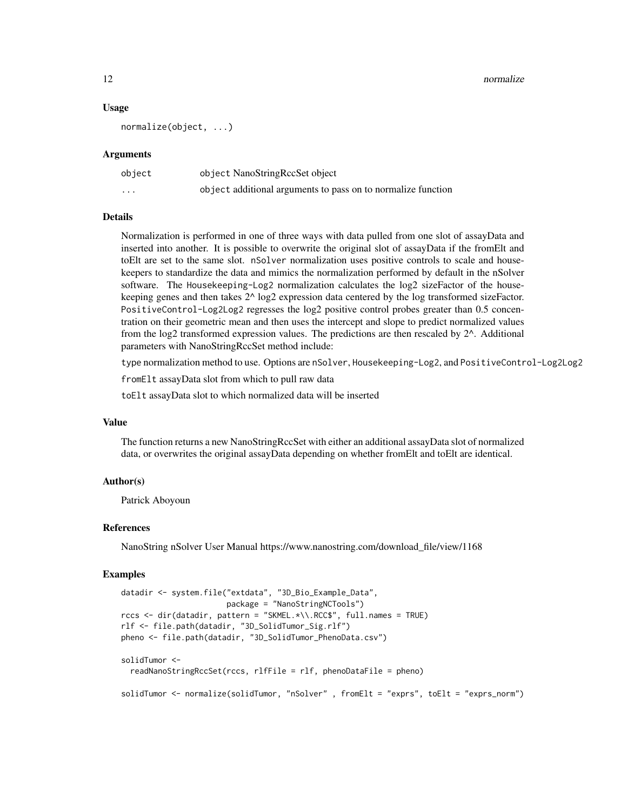12 normalize the contract of the contract of the contract of the contract of the contract of the contract of the contract of the contract of the contract of the contract of the contract of the contract of the contract of t

#### Usage

normalize(object, ...)

#### Arguments

| object   | object NanoStringRccSet object                               |
|----------|--------------------------------------------------------------|
| $\cdots$ | object additional arguments to pass on to normalize function |

#### Details

Normalization is performed in one of three ways with data pulled from one slot of assayData and inserted into another. It is possible to overwrite the original slot of assayData if the fromElt and toElt are set to the same slot. nSolver normalization uses positive controls to scale and housekeepers to standardize the data and mimics the normalization performed by default in the nSolver software. The Housekeeping-Log2 normalization calculates the log2 sizeFactor of the housekeeping genes and then takes 2^ log2 expression data centered by the log transformed sizeFactor. PositiveControl-Log2Log2 regresses the log2 positive control probes greater than 0.5 concentration on their geometric mean and then uses the intercept and slope to predict normalized values from the log2 transformed expression values. The predictions are then rescaled by  $2^{\wedge}$ . Additional parameters with NanoStringRccSet method include:

type normalization method to use. Options are nSolver, Housekeeping-Log2, and PositiveControl-Log2Log2

fromElt assayData slot from which to pull raw data

toElt assayData slot to which normalized data will be inserted

# Value

The function returns a new NanoStringRccSet with either an additional assayData slot of normalized data, or overwrites the original assayData depending on whether fromElt and toElt are identical.

#### Author(s)

Patrick Aboyoun

#### References

NanoString nSolver User Manual https://www.nanostring.com/download\_file/view/1168

```
datadir <- system.file("extdata", "3D_Bio_Example_Data",
                      package = "NanoStringNCTools")
rccs <- dir(datadir, pattern = "SKMEL.*\\.RCC$", full.names = TRUE)
rlf <- file.path(datadir, "3D_SolidTumor_Sig.rlf")
pheno <- file.path(datadir, "3D_SolidTumor_PhenoData.csv")
solidTumor <-
 readNanoStringRccSet(rccs, rlfFile = rlf, phenoDataFile = pheno)
solidTumor <- normalize(solidTumor, "nSolver" , fromElt = "exprs", toElt = "exprs_norm")
```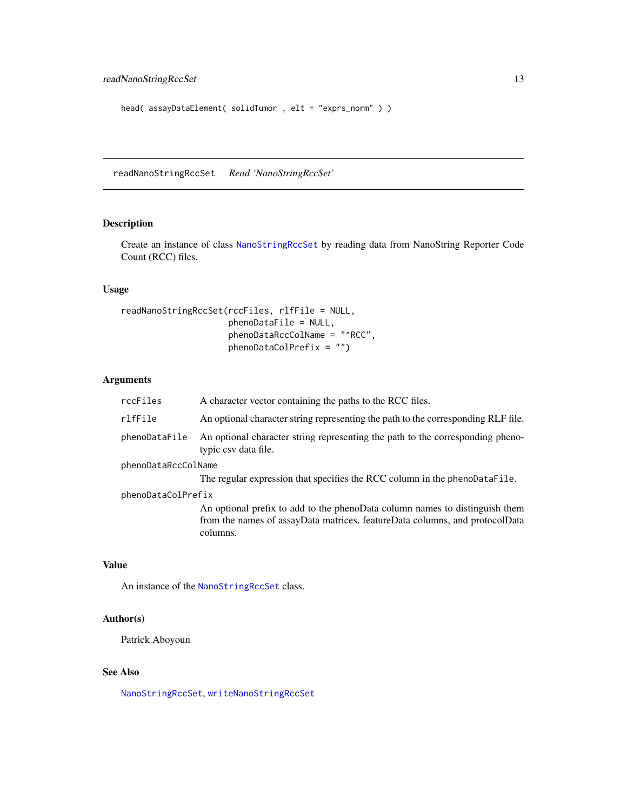```
head( assayDataElement( solidTumor , elt = "exprs_norm" ) )
```
<span id="page-12-1"></span>readNanoStringRccSet *Read 'NanoStringRccSet'*

# **Description**

Create an instance of class [NanoStringRccSet](#page-6-1) by reading data from NanoString Reporter Code Count (RCC) files.

#### Usage

```
readNanoStringRccSet(rccFiles, rlfFile = NULL,
                     phenoDataFile = NULL,
                     phenoDataRccColName = "^RCC",
                     phenoDataColPrefix = "")
```
# Arguments

| rccFiles            | A character vector containing the paths to the RCC files.                                              |
|---------------------|--------------------------------------------------------------------------------------------------------|
| rlfFile             | An optional character string representing the path to the corresponding RLF file.                      |
| phenoDataFile       | An optional character string representing the path to the corresponding pheno-<br>typic csy data file. |
| phenoDataRccColName |                                                                                                        |
|                     | The regular expression that specifies the RCC column in the phenoDataFile.                             |
| phenoDataColPrefix  |                                                                                                        |
|                     | An optional prefix to add to the phenoData column names to distinguish them                            |
|                     | from the names of assayData matrices, featureData columns, and protocolData                            |
|                     | columns.                                                                                               |

# Value

An instance of the [NanoStringRccSet](#page-6-1) class.

# Author(s)

Patrick Aboyoun

# See Also

[NanoStringRccSet](#page-6-2), [writeNanoStringRccSet](#page-20-1)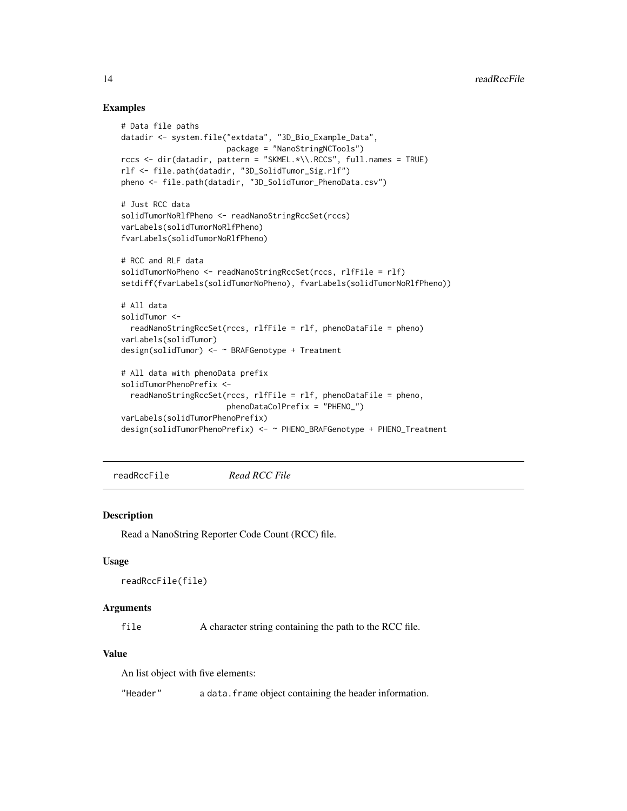#### Examples

```
# Data file paths
datadir <- system.file("extdata", "3D_Bio_Example_Data",
                       package = "NanoStringNCTools")
rccs <- dir(datadir, pattern = "SKMEL.*\\.RCC$", full.names = TRUE)
rlf <- file.path(datadir, "3D_SolidTumor_Sig.rlf")
pheno <- file.path(datadir, "3D_SolidTumor_PhenoData.csv")
# Just RCC data
solidTumorNoRlfPheno <- readNanoStringRccSet(rccs)
varLabels(solidTumorNoRlfPheno)
fvarLabels(solidTumorNoRlfPheno)
# RCC and RLF data
solidTumorNoPheno <- readNanoStringRccSet(rccs, rlfFile = rlf)
setdiff(fvarLabels(solidTumorNoPheno), fvarLabels(solidTumorNoRlfPheno))
# All data
solidTumor <-
 readNanoStringRccSet(rccs, rlfFile = rlf, phenoDataFile = pheno)
varLabels(solidTumor)
design(solidTumor) <- ~ BRAFGenotype + Treatment
# All data with phenoData prefix
solidTumorPhenoPrefix <-
 readNanoStringRccSet(rccs, rlfFile = rlf, phenoDataFile = pheno,
                       phenoDataColPrefix = "PHENO_")
varLabels(solidTumorPhenoPrefix)
design(solidTumorPhenoPrefix) <- ~ PHENO_BRAFGenotype + PHENO_Treatment
```
readRccFile *Read RCC File*

#### **Description**

Read a NanoString Reporter Code Count (RCC) file.

#### Usage

```
readRccFile(file)
```
### Arguments

file A character string containing the path to the RCC file.

#### Value

An list object with five elements:

"Header" a data.frame object containing the header information.

<span id="page-13-0"></span>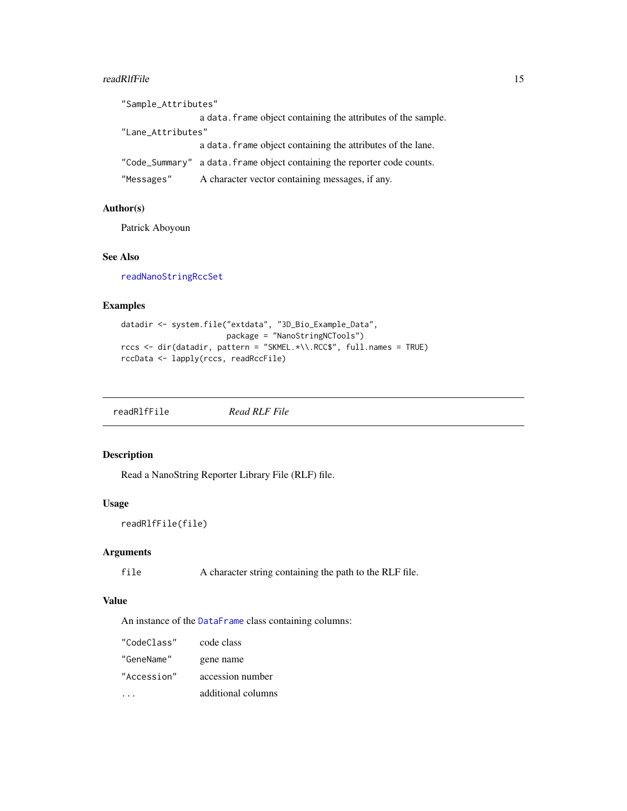#### <span id="page-14-0"></span>readRlfFile 15

| "Sample_Attributes" |                                                                          |
|---------------------|--------------------------------------------------------------------------|
|                     | a data. Frame object containing the attributes of the sample.            |
| "Lane_Attributes"   |                                                                          |
|                     | a data. Frame object containing the attributes of the lane.              |
|                     | "Code_Summary" a data. frame object containing the reporter code counts. |
| "Messages"          | A character vector containing messages, if any.                          |

# Author(s)

Patrick Aboyoun

# See Also

[readNanoStringRccSet](#page-12-1)

#### Examples

```
datadir <- system.file("extdata", "3D_Bio_Example_Data",
                      package = "NanoStringNCTools")
rccs <- dir(datadir, pattern = "SKMEL.*\\.RCC$", full.names = TRUE)
rccData <- lapply(rccs, readRccFile)
```
readRlfFile *Read RLF File*

# Description

Read a NanoString Reporter Library File (RLF) file.

# Usage

```
readRlfFile(file)
```
# Arguments

file A character string containing the path to the RLF file.

# Value

An instance of the [DataFrame](#page-0-0) class containing columns:

| "CodeClass" | code class         |
|-------------|--------------------|
| "GeneName"  | gene name          |
| "Accession" | accession number   |
|             | additional columns |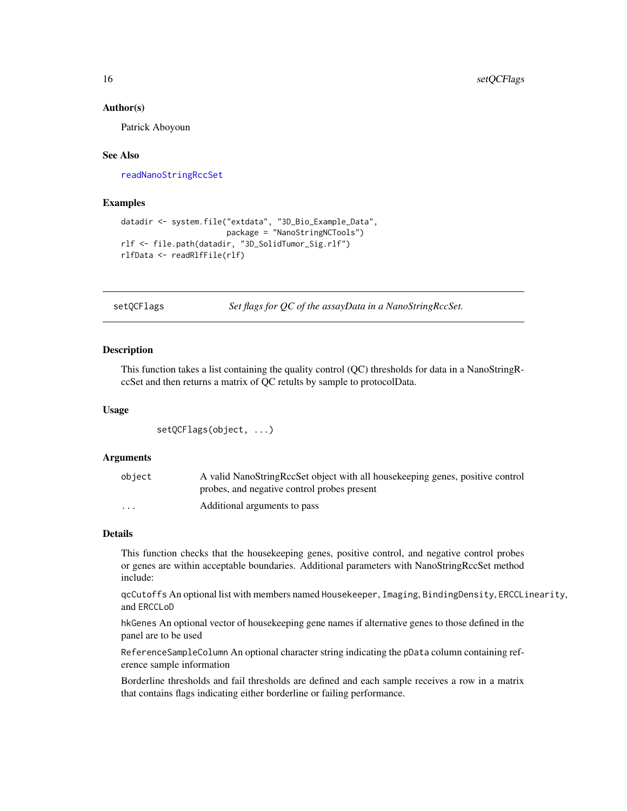#### Author(s)

Patrick Aboyoun

#### See Also

[readNanoStringRccSet](#page-12-1)

# Examples

```
datadir <- system.file("extdata", "3D_Bio_Example_Data",
                       package = "NanoStringNCTools")
rlf <- file.path(datadir, "3D_SolidTumor_Sig.rlf")
rlfData <- readRlfFile(rlf)
```
setQCFlags *Set flags for QC of the assayData in a NanoStringRccSet.*

#### **Description**

This function takes a list containing the quality control (QC) thresholds for data in a NanoStringRccSet and then returns a matrix of QC retults by sample to protocolData.

#### Usage

setQCFlags(object, ...)

#### Arguments

| object                  | A valid NanoStringRccSet object with all housekeeping genes, positive control |
|-------------------------|-------------------------------------------------------------------------------|
|                         | probes, and negative control probes present                                   |
| $\cdot$ $\cdot$ $\cdot$ | Additional arguments to pass                                                  |

#### Details

This function checks that the housekeeping genes, positive control, and negative control probes or genes are within acceptable boundaries. Additional parameters with NanoStringRccSet method include:

qcCutoffs An optional list with members named Housekeeper, Imaging, BindingDensity, ERCCLinearity, and ERCCLoD

hkGenes An optional vector of housekeeping gene names if alternative genes to those defined in the panel are to be used

ReferenceSampleColumn An optional character string indicating the pData column containing reference sample information

Borderline thresholds and fail thresholds are defined and each sample receives a row in a matrix that contains flags indicating either borderline or failing performance.

<span id="page-15-0"></span>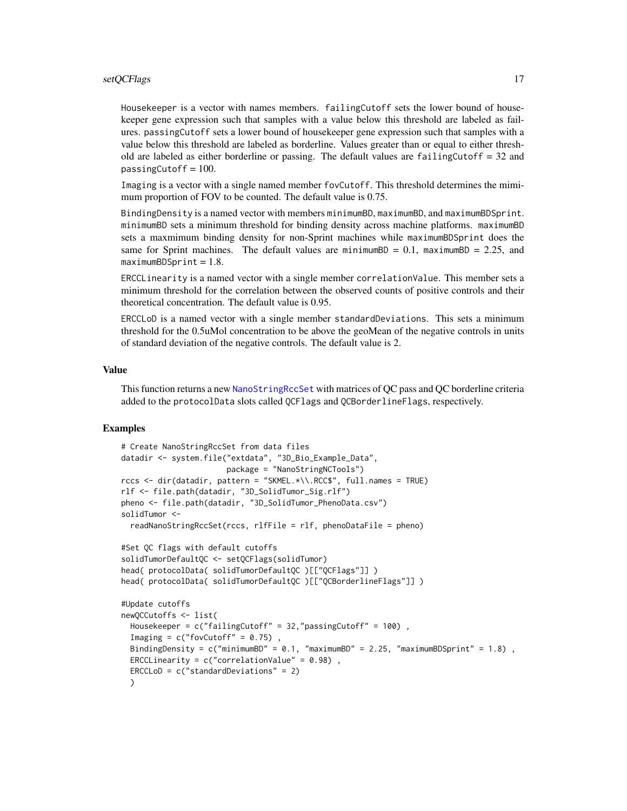<span id="page-16-0"></span>Housekeeper is a vector with names members. failingCutoff sets the lower bound of housekeeper gene expression such that samples with a value below this threshold are labeled as failures. passingCutoff sets a lower bound of housekeeper gene expression such that samples with a value below this threshold are labeled as borderline. Values greater than or equal to either threshold are labeled as either borderline or passing. The default values are  $failingCutoff = 32$  and passingCutoff =  $100$ .

Imaging is a vector with a single named member fovCutoff. This threshold determines the mimimum proportion of FOV to be counted. The default value is 0.75.

BindingDensity is a named vector with members minimumBD, maximumBD, and maximumBDSprint. minimumBD sets a minimum threshold for binding density across machine platforms. maximumBD sets a maxmimum binding density for non-Sprint machines while maximumBDSprint does the same for Sprint machines. The default values are minimumBD =  $0.1$ , maximumBD =  $2.25$ , and  $maximumBDSprint = 1.8$ .

ERCCLinearity is a named vector with a single member correlationValue. This member sets a minimum threshold for the correlation between the observed counts of positive controls and their theoretical concentration. The default value is 0.95.

ERCCLoD is a named vector with a single member standardDeviations. This sets a minimum threshold for the 0.5uMol concentration to be above the geoMean of the negative controls in units of standard deviation of the negative controls. The default value is 2.

#### Value

This function returns a new [NanoStringRccSet](#page-6-1) with matrices of QC pass and QC borderline criteria added to the protocolData slots called QCFlags and QCBorderlineFlags, respectively.

```
# Create NanoStringRccSet from data files
datadir <- system.file("extdata", "3D_Bio_Example_Data",
                       package = "NanoStringNCTools")
rccs <- dir(datadir, pattern = "SKMEL.*\\.RCC$", full.names = TRUE)
rlf <- file.path(datadir, "3D_SolidTumor_Sig.rlf")
pheno <- file.path(datadir, "3D_SolidTumor_PhenoData.csv")
solidTumor <-
 readNanoStringRccSet(rccs, rlfFile = rlf, phenoDataFile = pheno)
#Set QC flags with default cutoffs
solidTumorDefaultQC <- setQCFlags(solidTumor)
head( protocolData( solidTumorDefaultQC )[["QCFlags"]] )
head( protocolData( solidTumorDefaultQC )[["QCBorderlineFlags"]] )
#Update cutoffs
newQCCutoffs <- list(
 Housekeeper = c("failingCutoff" = 32,"passingCutoff" = 100) ,
 Imaging = c("fovCutoff" = 0.75),
 BindingDensity = c("minimumBD" = 0.1, "maximumBD" = 2.25, "maximumBDSprint" = 1.8),
 ERCCLinearity = c("correlationValue" = 0.98),
 ERCCLoD = c("standardDeviations" = 2)
 )
```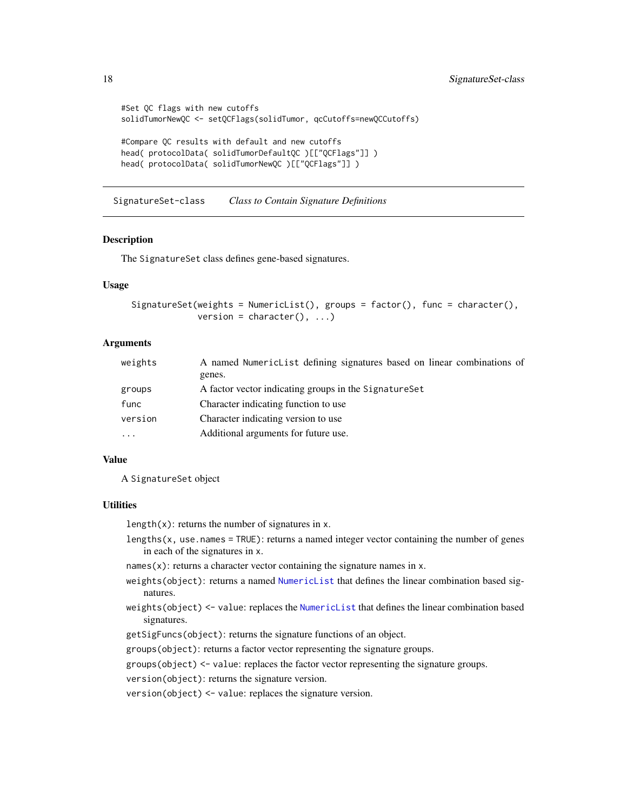```
#Set QC flags with new cutoffs
solidTumorNewQC <- setQCFlags(solidTumor, qcCutoffs=newQCCutoffs)
#Compare QC results with default and new cutoffs
head( protocolData( solidTumorDefaultQC )[["QCFlags"]] )
head( protocolData( solidTumorNewQC )[["QCFlags"]] )
```
SignatureSet-class *Class to Contain Signature Definitions*

### <span id="page-17-1"></span>**Description**

The SignatureSet class defines gene-based signatures.

# Usage

```
SignatureSet(weights = NumericList(), groups = factor(), func = character(),
            version = character(), ...)
```
# Arguments

| weights   | A named Numeric List defining signatures based on linear combinations of |
|-----------|--------------------------------------------------------------------------|
|           | genes.                                                                   |
| groups    | A factor vector indicating groups in the Signature Set                   |
| func      | Character indicating function to use                                     |
| version   | Character indicating version to use                                      |
| $\ddotsc$ | Additional arguments for future use.                                     |

# Value

A SignatureSet object

#### **Utilities**

length $(x)$ : returns the number of signatures in x.

lengths $(x,$  use.names = TRUE): returns a named integer vector containing the number of genes in each of the signatures in x.

names $(x)$ : returns a character vector containing the signature names in x.

- weights(object): returns a named [NumericList](#page-0-0) that defines the linear combination based signatures.
- weights(object) <- value: replaces the [NumericList](#page-0-0) that defines the linear combination based signatures.

getSigFuncs(object): returns the signature functions of an object.

groups(object): returns a factor vector representing the signature groups.

groups(object) <- value: replaces the factor vector representing the signature groups.

version(object): returns the signature version.

version(object) <- value: replaces the signature version.

<span id="page-17-0"></span>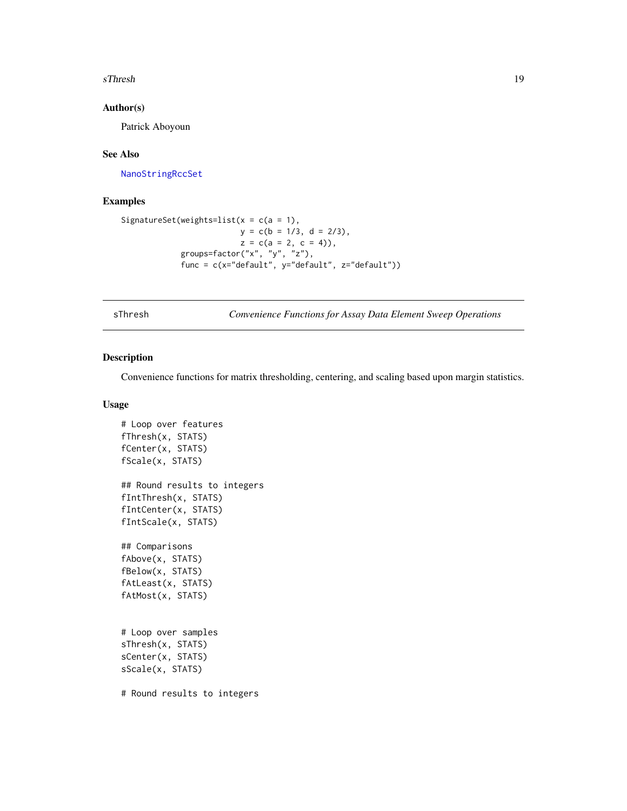#### <span id="page-18-0"></span>sThresh 19

#### Author(s)

Patrick Aboyoun

# See Also

[NanoStringRccSet](#page-6-2)

# Examples

```
SignatureSet(weights=list(x = c(a = 1),
                         y = c(b = 1/3, d = 2/3),
                         z = c(a = 2, c = 4),
            groups=factor("x", "y", "z"),
            func = c(x="default", y="default", z="default"))
```
sThresh *Convenience Functions for Assay Data Element Sweep Operations*

# Description

Convenience functions for matrix thresholding, centering, and scaling based upon margin statistics.

#### Usage

```
# Loop over features
fThresh(x, STATS)
fCenter(x, STATS)
fScale(x, STATS)
## Round results to integers
fIntThresh(x, STATS)
fIntCenter(x, STATS)
fIntScale(x, STATS)
## Comparisons
fAbove(x, STATS)
fBelow(x, STATS)
fAtLeast(x, STATS)
fAtMost(x, STATS)
# Loop over samples
sThresh(x, STATS)
sCenter(x, STATS)
sScale(x, STATS)
# Round results to integers
```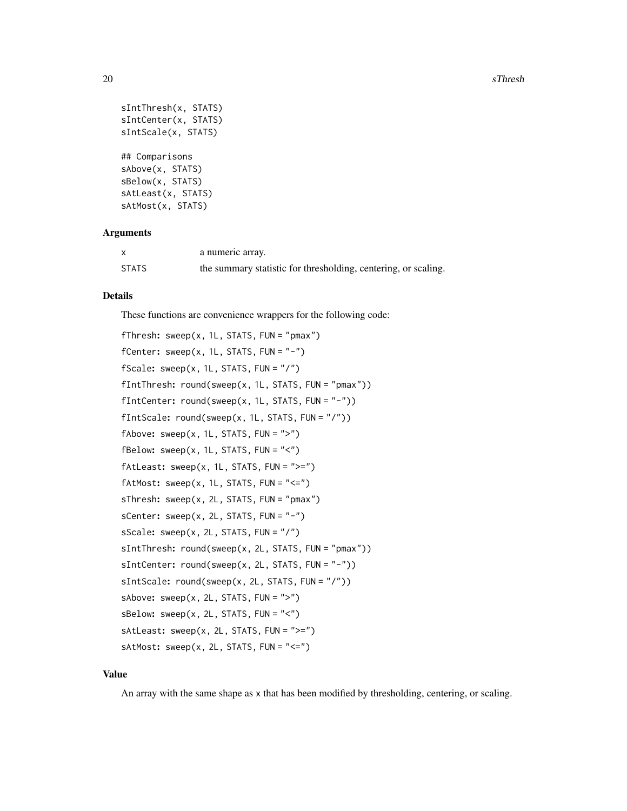```
sIntThresh(x, STATS)
sIntCenter(x, STATS)
sIntScale(x, STATS)
## Comparisons
sAbove(x, STATS)
sBelow(x, STATS)
sAtLeast(x, STATS)
sAtMost(x, STATS)
```
# Arguments

|              | a numeric array.                                               |
|--------------|----------------------------------------------------------------|
| <b>STATS</b> | the summary statistic for thresholding, centering, or scaling. |

#### Details

These functions are convenience wrappers for the following code:

```
fThresh: sweep(x, 1L, STATS, FUN = "pmax")
fCenter: sweep(x, 1L, STATS, FUN = "-'")fScale: sweep(x, 1L, STATS, FUN = "/")
fIntThresh: round(sweep(x, 1L, STATS, FUN = "pmax"))
fIntCenter: round(sweep(x, 1L, STATS, FUN = "-"))
fIntScale: round(sweep(x, 1L, STATS, FUN = "T"))fAbove: sweep(x, 1L, STATS, FUN = ">")fBelow: sweep(x, 1L, STATS, FUN = "<-")fAtLeast: sweep(x, 1L, STATS, FUN = ">=")
fAtMost: sweep(x, 1L, STATS, FUN = "<=")sThresh: sweep(x, 2L, STATS, FUN = "pmax")
sCenter: sweep(x, 2L, STATS, FUN = "-")
sScale: sweep(x, 2L, STATS, FUN = "T")sIntThresh: round(sweep(x, 2L, STATS, FUN = "pmax"))
sIntCenter: round(sweep(x, 2L, STATS, FUN = "-"))
sIntScale: round(sweep(x, 2L, STATS, FUN = "/"))
sAbove: sweep(x, 2L, STATS, FUN = ">")sBelow: sweep(x, 2L, STATS, FUN = "<<")sAtLeast: sweep(x, 2L, STATS, FUN = ">=")
sAtMost: sweep(x, 2L, STATS, FUN = "<=")
```
#### Value

An array with the same shape as x that has been modified by thresholding, centering, or scaling.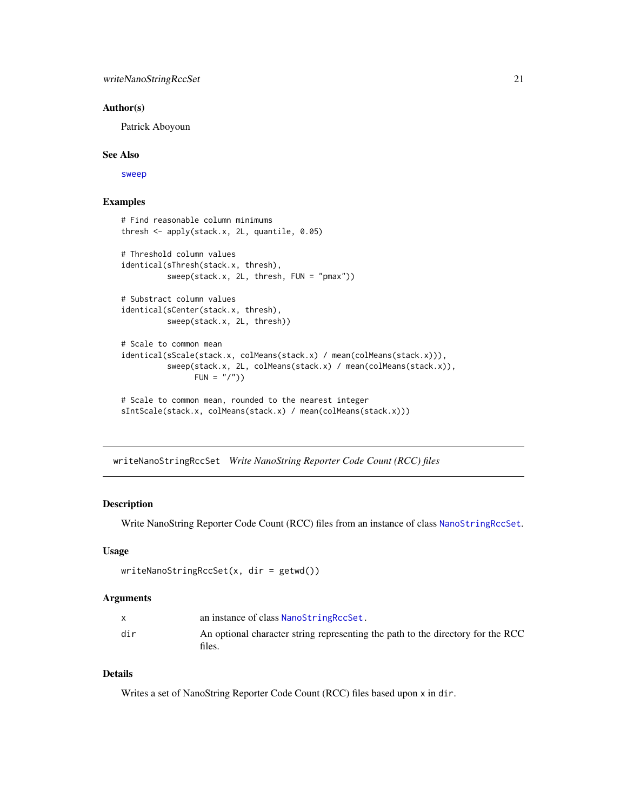#### <span id="page-20-0"></span>Author(s)

Patrick Aboyoun

#### See Also

[sweep](#page-0-0)

# Examples

```
# Find reasonable column minimums
thresh <- apply(stack.x, 2L, quantile, 0.05)
# Threshold column values
identical(sThresh(stack.x, thresh),
         sweep(stack.x, 2L, thresh, FUN = "pmax"))
# Substract column values
identical(sCenter(stack.x, thresh),
         sweep(stack.x, 2L, thresh))
# Scale to common mean
identical(sScale(stack.x, colMeans(stack.x) / mean(colMeans(stack.x))),
          sweep(stack.x, 2L, colMeans(stack.x) / mean(colMeans(stack.x)),
               FUN = "('")# Scale to common mean, rounded to the nearest integer
sIntScale(stack.x, colMeans(stack.x) / mean(colMeans(stack.x)))
```
<span id="page-20-1"></span>writeNanoStringRccSet *Write NanoString Reporter Code Count (RCC) files*

# Description

Write NanoString Reporter Code Count (RCC) files from an instance of class [NanoStringRccSet](#page-6-1).

#### Usage

```
writeNanoStringRccSet(x, dir = getwd())
```
# Arguments

|     | an instance of class NanoStringRccSet.                                                    |
|-----|-------------------------------------------------------------------------------------------|
| dir | An optional character string representing the path to the directory for the RCC<br>files. |

# Details

Writes a set of NanoString Reporter Code Count (RCC) files based upon x in dir.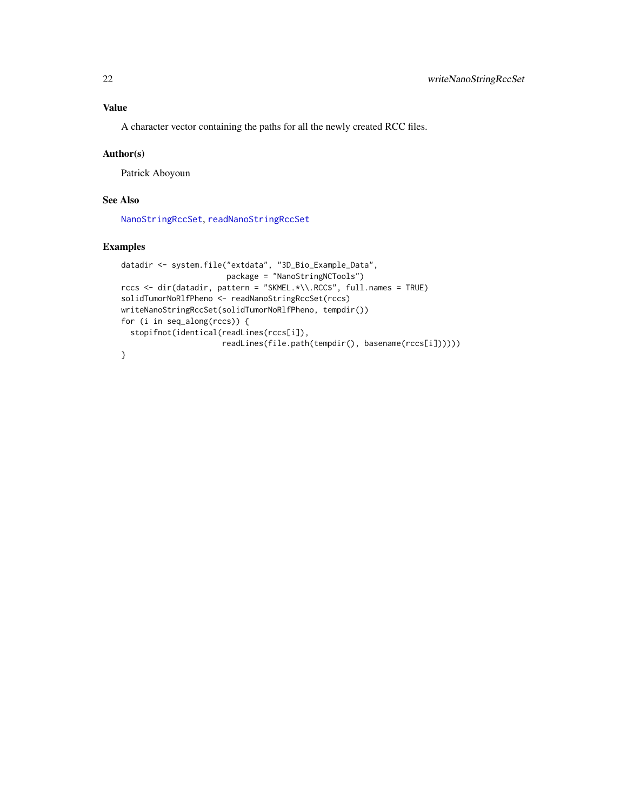# <span id="page-21-0"></span>Value

A character vector containing the paths for all the newly created RCC files.

#### Author(s)

Patrick Aboyoun

#### See Also

[NanoStringRccSet](#page-6-2), [readNanoStringRccSet](#page-12-1)

```
datadir <- system.file("extdata", "3D_Bio_Example_Data",
                       package = "NanoStringNCTools")
rccs <- dir(datadir, pattern = "SKMEL.*\\.RCC$", full.names = TRUE)
solidTumorNoRlfPheno <- readNanoStringRccSet(rccs)
writeNanoStringRccSet(solidTumorNoRlfPheno, tempdir())
for (i in seq_along(rccs)) {
  stopifnot(identical(readLines(rccs[i]),
                      readLines(file.path(tempdir(), basename(rccs[i])))))
}
```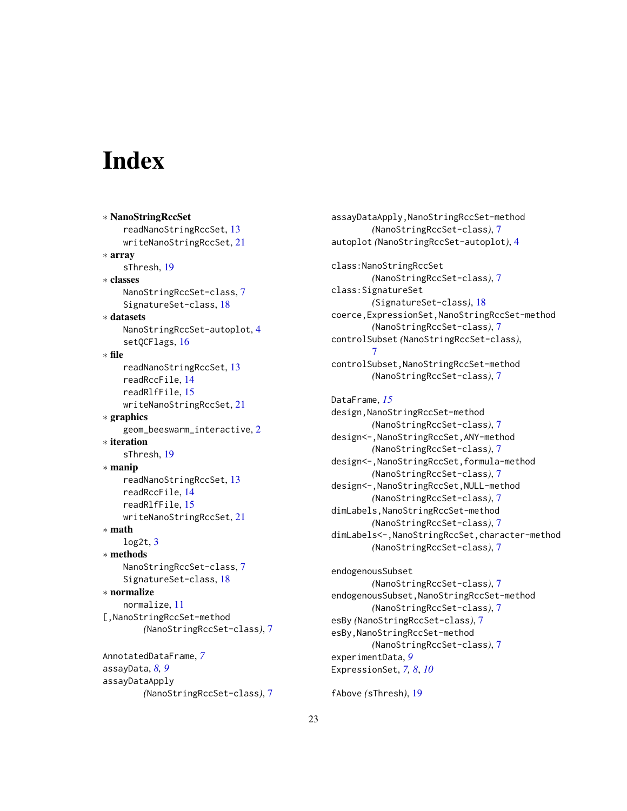# <span id="page-22-0"></span>**Index**

∗ NanoStringRccSet readNanoStringRccSet, [13](#page-12-0) writeNanoStringRccSet, [21](#page-20-0) ∗ array sThresh, [19](#page-18-0) ∗ classes NanoStringRccSet-class, [7](#page-6-0) SignatureSet-class, [18](#page-17-0) ∗ datasets NanoStringRccSet-autoplot, [4](#page-3-0) setQCFlags, [16](#page-15-0) ∗ file readNanoStringRccSet, [13](#page-12-0) readRccFile, [14](#page-13-0) readRlfFile, [15](#page-14-0) writeNanoStringRccSet, [21](#page-20-0) ∗ graphics geom\_beeswarm\_interactive, [2](#page-1-0) ∗ iteration sThresh, [19](#page-18-0) ∗ manip readNanoStringRccSet, [13](#page-12-0) readRccFile, [14](#page-13-0) readRlfFile, [15](#page-14-0) writeNanoStringRccSet, [21](#page-20-0) ∗ math  $log2t, 3$  $log2t, 3$ ∗ methods NanoStringRccSet-class, [7](#page-6-0) SignatureSet-class, [18](#page-17-0) ∗ normalize normalize, [11](#page-10-0) [,NanoStringRccSet-method *(*NanoStringRccSet-class*)*, [7](#page-6-0) AnnotatedDataFrame, *[7](#page-6-0)* assayData, *[8,](#page-7-0) [9](#page-8-0)* assayDataApply

*(*NanoStringRccSet-class*)*, [7](#page-6-0)

```
assayDataApply,NanoStringRccSet-method
        (NanoStringRccSet-class), 7
autoplot (NanoStringRccSet-autoplot), 4
class:NanoStringRccSet
        (NanoStringRccSet-class), 7
class:SignatureSet
        (SignatureSet-class), 18
coerce,ExpressionSet,NanoStringRccSet-method
        (NanoStringRccSet-class), 7
controlSubset (NanoStringRccSet-class),
        7
controlSubset,NanoStringRccSet-method
        (NanoStringRccSet-class), 7
DataFrame, 15
design,NanoStringRccSet-method
        (NanoStringRccSet-class), 7
design<-,NanoStringRccSet,ANY-method
        (NanoStringRccSet-class), 7
design<-,NanoStringRccSet,formula-method
        (NanoStringRccSet-class), 7
design<-,NanoStringRccSet,NULL-method
        (NanoStringRccSet-class), 7
dimLabels,NanoStringRccSet-method
        (NanoStringRccSet-class), 7
dimLabels<-,NanoStringRccSet,character-method
        (NanoStringRccSet-class), 7
endogenousSubset
```

```
(NanoStringRccSet-class), 7
endogenousSubset,NanoStringRccSet-method
        (NanoStringRccSet-class), 7
esBy (NanoStringRccSet-class), 7
esBy,NanoStringRccSet-method
        (NanoStringRccSet-class), 7
experimentData, 9
ExpressionSet, 7, 8, 10
```

```
fAbove (sThresh), 19
```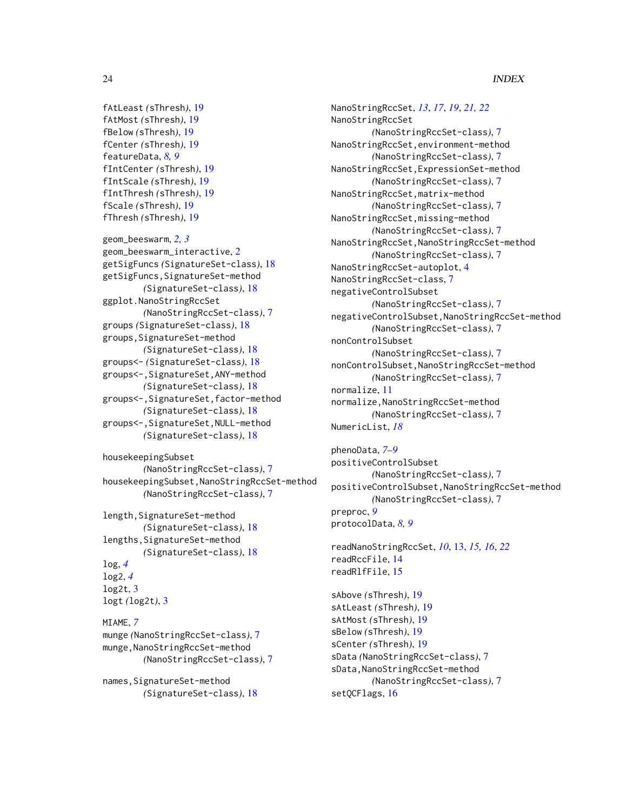# 24 INDEX

```
fAtLeast (sThresh), 19
fAtMost (sThresh), 19
fBelow (sThresh), 19
fCenter (sThresh), 19
featureData, 8, 9
fIntCenter (sThresh), 19
fIntScale (sThresh), 19
fIntThresh (sThresh), 19
fScale (sThresh), 19
fThresh (sThresh), 19
```

```
geom_beeswarm, 2, 3
geom_beeswarm_interactive, 2
getSigFuncs (SignatureSet-class), 18
getSigFuncs,SignatureSet-method
        (SignatureSet-class), 18
ggplot.NanoStringRccSet
        (NanoStringRccSet-class), 7
groups (SignatureSet-class), 18
groups, SignatureSet-method
        (SignatureSet-class), 18
groups<- (SignatureSet-class), 18
groups<-,SignatureSet,ANY-method
        (SignatureSet-class), 18
groups<-,SignatureSet,factor-method
        (SignatureSet-class), 18
groups<-,SignatureSet,NULL-method
        (SignatureSet-class), 18
```

```
housekeepingSubset
        (NanoStringRccSet-class), 7
housekeepingSubset,NanoStringRccSet-method
        (NanoStringRccSet-class), 7
```

```
length, SignatureSet-method
         (SignatureSet-class), 18
lengths, SignatureSet-method
         (SignatureSet-class), 18
log, 4
log2, 4
log<sub>2</sub>t, 3logt (log2t), 3
```

```
MIAME, 7
munge (NanoStringRccSet-class), 7
munge,NanoStringRccSet-method
        (NanoStringRccSet-class), 7
```

```
names,SignatureSet-method
        (SignatureSet-class), 18
```
NanoStringRccSet, *[13](#page-12-0)*, *[17](#page-16-0)*, *[19](#page-18-0)*, *[21,](#page-20-0) [22](#page-21-0)* NanoStringRccSet *(*NanoStringRccSet-class*)*, [7](#page-6-0) NanoStringRccSet,environment-method *(*NanoStringRccSet-class*)*, [7](#page-6-0) NanoStringRccSet,ExpressionSet-method *(*NanoStringRccSet-class*)*, [7](#page-6-0) NanoStringRccSet,matrix-method *(*NanoStringRccSet-class*)*, [7](#page-6-0) NanoStringRccSet,missing-method *(*NanoStringRccSet-class*)*, [7](#page-6-0) NanoStringRccSet,NanoStringRccSet-method *(*NanoStringRccSet-class*)*, [7](#page-6-0) NanoStringRccSet-autoplot, [4](#page-3-0) NanoStringRccSet-class, [7](#page-6-0) negativeControlSubset *(*NanoStringRccSet-class*)*, [7](#page-6-0) negativeControlSubset,NanoStringRccSet-method *(*NanoStringRccSet-class*)*, [7](#page-6-0) nonControlSubset *(*NanoStringRccSet-class*)*, [7](#page-6-0) nonControlSubset,NanoStringRccSet-method *(*NanoStringRccSet-class*)*, [7](#page-6-0) normalize, [11](#page-10-0) normalize,NanoStringRccSet-method *(*NanoStringRccSet-class*)*, [7](#page-6-0) NumericList, *[18](#page-17-0)*

```
phenoData, 7–9
positiveControlSubset
        (NanoStringRccSet-class), 7
positiveControlSubset,NanoStringRccSet-method
        (NanoStringRccSet-class), 7
preproc, 9
protocolData, 8, 9
```

```
readNanoStringRccSet, 10, 13, 15, 16, 22
readRccFile, 14
readRlfFile, 15
```
sAbove *(*sThresh*)*, [19](#page-18-0) sAtLeast *(*sThresh*)*, [19](#page-18-0) sAtMost *(*sThresh*)*, [19](#page-18-0) sBelow *(*sThresh*)*, [19](#page-18-0) sCenter *(*sThresh*)*, [19](#page-18-0) sData *(*NanoStringRccSet-class*)*, [7](#page-6-0) sData,NanoStringRccSet-method *(*NanoStringRccSet-class*)*, [7](#page-6-0) setQCFlags, [16](#page-15-0)